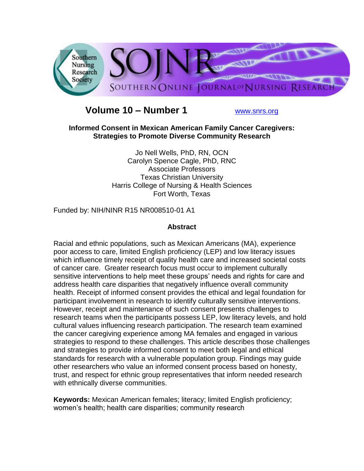

# **Volume 10 – Number 1** [www.snrs.org](http://www.snrs.org/)

**Informed Consent in Mexican American Family Cancer Caregivers: Strategies to Promote Diverse Community Research**

> Jo Nell Wells, PhD, RN, OCN Carolyn Spence Cagle, PhD, RNC Associate Professors Texas Christian University Harris College of Nursing & Health Sciences Fort Worth, Texas

Funded by: NIH/NINR R15 NR008510-01 A1

### **Abstract**

Racial and ethnic populations, such as Mexican Americans (MA), experience poor access to care, limited English proficiency (LEP) and low literacy issues which influence timely receipt of quality health care and increased societal costs of cancer care. Greater research focus must occur to implement culturally sensitive interventions to help meet these groups' needs and rights for care and address health care disparities that negatively influence overall community health. Receipt of informed consent provides the ethical and legal foundation for participant involvement in research to identify culturally sensitive interventions. However, receipt and maintenance of such consent presents challenges to research teams when the participants possess LEP, low literacy levels, and hold cultural values influencing research participation. The research team examined the cancer caregiving experience among MA females and engaged in various strategies to respond to these challenges. This article describes those challenges and strategies to provide informed consent to meet both legal and ethical standards for research with a vulnerable population group. Findings may guide other researchers who value an informed consent process based on honesty, trust, and respect for ethnic group representatives that inform needed research with ethnically diverse communities.

**Keywords:** Mexican American females; literacy; limited English proficiency; women"s health; health care disparities; community research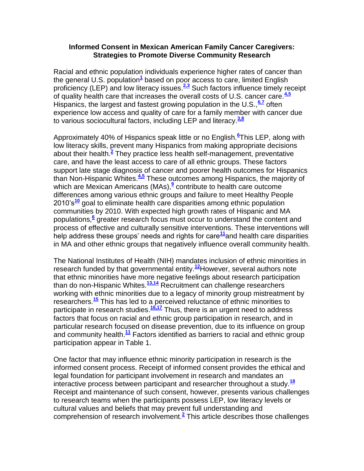#### **Informed Consent in Mexican American Family Cancer Caregivers: Strategies to Promote Diverse Community Research**

Racial and ethnic population individuals experience higher rates of cancer than the general U.S. population**[1](http://snrs.org/publications/SOJNR_articles2/n)** based on poor access to care, limited English proficiency (LEP) and low literacy issues.**[2,3](http://snrs.org/publications/SOJNR_articles2/n)** Such factors influence timely receipt of quality health care that increases the overall costs of U.S. cancer care.**[4,5](http://snrs.org/publications/SOJNR_articles2/n)** Hispanics, the largest and fastest growing population in the U.S.,**[6,7](http://snrs.org/publications/SOJNR_articles2/n)** often experience low access and quality of care for a family member with cancer due to various sociocultural factors, including LEP and literacy.**[3,8](http://snrs.org/publications/SOJNR_articles2/n)**

Approximately 40% of Hispanics speak little or no English.**[6](http://snrs.org/publications/SOJNR_articles2/n)** This LEP, along with low literacy skills, prevent many Hispanics from making appropriate decisions about their health.**[2](http://snrs.org/publications/SOJNR_articles2/n)** They practice less health self-management, preventative care, and have the least access to care of all ethnic groups. These factors support late stage diagnosis of cancer and poorer health outcomes for Hispanics than Non-Hispanic Whites.**[4,5](http://snrs.org/publications/SOJNR_articles2/n)** These outcomes among Hispanics, the majority of which are Mexican Americans (MAs), <sup>[9](http://snrs.org/publications/SOJNR_articles2/n)</sup> contribute to health care outcome differences among various ethnic groups and failure to meet Healthy People 2010"s**[10](http://snrs.org/publications/SOJNR_articles2/n)** goal to eliminate health care disparities among ethnic population communities by 2010. With expected high growth rates of Hispanic and MA populations[,](http://snrs.org/publications/SOJNR_articles2/n)**<sup>6</sup>** greater research focus must occur to understand the content and process of effective and culturally sensitive interventions. These interventions will help address these groups' needs and rights for care<sup>[11](http://snrs.org/publications/SOJNR_articles2/n)</sup>and health care disparities in MA and other ethnic groups that negatively influence overall community health.

The National Institutes of Health (NIH) mandates inclusion of ethnic minorities in research funded by that governmental entity.**[12](http://snrs.org/publications/SOJNR_articles2/n)**However, several authors note that ethnic minorities have more negative feelings about research participation than do non-Hispanic Whites.**[13,14](http://snrs.org/publications/SOJNR_articles2/n)** Recruitment can challenge researchers working with ethnic minorities due to a legacy of minority group mistreatment by researchers.**[15](http://snrs.org/publications/SOJNR_articles2/n)** This has led to a perceived reluctance of ethnic minorities to participate in research studies.**[16,17](http://snrs.org/publications/SOJNR_articles2/n)** Thus, there is an urgent need to address factors that focus on racial and ethnic group participation in research, and in particular research focused on disease prevention, due to its influence on group and community health.**[11](http://snrs.org/publications/SOJNR_articles2/n)** Factors identified as barriers to racial and ethnic group participation appear in Table 1.

One factor that may influence ethnic minority participation in research is the informed consent process. Receipt of informed consent provides the ethical and legal foundation for participant involvement in research and mandates an interactive process between participant and researcher throughout a study.**[18](http://snrs.org/publications/SOJNR_articles2/n)** Receipt and maintenance of such consent, however, presents various challenges to research teams when the participants possess LEP, low literacy levels or cultural values and beliefs that may prevent full understanding and comprehension of research involvement.**[2](http://snrs.org/publications/SOJNR_articles2/n)** This article describes those challenges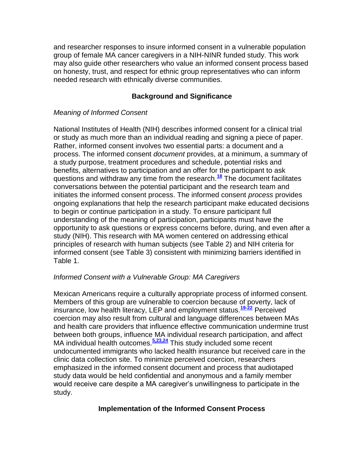and researcher responses to insure informed consent in a vulnerable population group of female MA cancer caregivers in a NIH-NINR funded study. This work may also guide other researchers who value an informed consent process based on honesty, trust, and respect for ethnic group representatives who can inform needed research with ethnically diverse communities.

### **Background and Significance**

### *Meaning of Informed Consent*

National Institutes of Health (NIH) describes informed consent for a clinical trial or study as much more than an individual reading and signing a piece of paper. Rather, informed consent involves two essential parts: a document and a process. The informed consent *document* provides, at a minimum, a summary of a study purpose, treatment procedures and schedule, potential risks and benefits, alternatives to participation and an offer for the participant to ask questions and withdraw any time from the research.**[18](http://snrs.org/publications/SOJNR_articles2/n)** The document facilitates conversations between the potential participant and the research team and initiates the informed consent process. The informed consent *process* provides ongoing explanations that help the research participant make educated decisions to begin or continue participation in a study. To ensure participant full understanding of the meaning of participation, participants must have the opportunity to ask questions or express concerns before, during, and even after a study (NIH). This research with MA women centered on addressing ethical principles of research with human subjects (see Table 2) and NIH criteria for informed consent (see Table 3) consistent with minimizing barriers identified in Table 1.

### *Informed Consent with a Vulnerable Group: MA Caregivers*

Mexican Americans require a culturally appropriate process of informed consent. Members of this group are vulnerable to coercion because of poverty, lack of insurance, low health literacy, LEP and employment status.**[19-22](http://snrs.org/publications/SOJNR_articles2/n)** Perceived coercion may also result from cultural and language differences between MAs and health care providers that influence effective communication undermine trust between both groups, influence MA individual research participation, and affect MA individual health outcomes.<sup>[5,23,24](http://snrs.org/publications/SOJNR_articles2/n)</sup> This study included some recent undocumented immigrants who lacked health insurance but received care in the clinic data collection site. To minimize perceived coercion, researchers emphasized in the informed consent document and process that audiotaped study data would be held confidential and anonymous and a family member would receive care despite a MA caregiver"s unwillingness to participate in the study.

## **Implementation of the Informed Consent Process**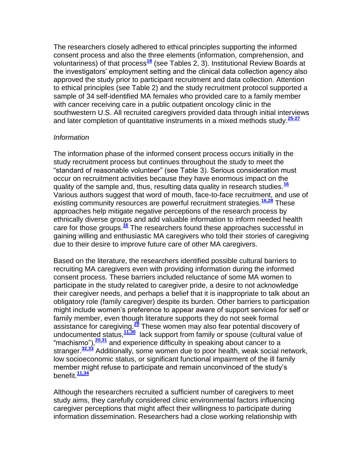The researchers closely adhered to ethical principles supporting the informed consent process and also the three elements (information, comprehension, and voluntariness) of that process**[18](http://snrs.org/publications/SOJNR_articles2/n)** (see Tables 2, 3). Institutional Review Boards at the investigators" employment setting and the clinical data collection agency also approved the study prior to participant recruitment and data collection. Attention to ethical principles (see Table 2) and the study recruitment protocol supported a sample of 34 self-identified MA females who provided care to a family member with cancer receiving care in a public outpatient oncology clinic in the southwestern U.S. All recruited caregivers provided data through initial interviews and later completion of quantitative instruments in a mixed methods study.**[25-27](http://snrs.org/publications/SOJNR_articles2/n)**

### *Information*

The information phase of the informed consent process occurs initially in the study recruitment process but continues throughout the study to meet the "standard of reasonable volunteer" (see Table 3). Serious consideration must occur on recruitment activities because they have enormous impact on the quality of the sample and, thus, resulting data quality in research studies.**[16](http://snrs.org/publications/SOJNR_articles2/n)** Various authors suggest that word of mouth, face-to-face recruitment, and use of existing community resources are powerful recruitment strategies.**[16,28](http://snrs.org/publications/SOJNR_articles2/n)** These approaches help mitigate negative perceptions of the research process by ethnically diverse groups and add valuable information to inform needed health care for those groups.**[16](http://snrs.org/publications/SOJNR_articles2/n)** The researchers found these approaches successful in gaining willing and enthusiastic MA caregivers who told their stories of caregiving due to their desire to improve future care of other MA caregivers.

Based on the literature, the researchers identified possible cultural barriers to recruiting MA caregivers even with providing information during the informed consent process. These barriers included reluctance of some MA women to participate in the study related to caregiver pride, a desire to not acknowledge their caregiver needs, and perhaps a belief that it is inappropriate to talk about an obligatory role (family caregiver) despite its burden. Other barriers to participation might include women"s preference to appear aware of support services for self or family member, even though literature supports they do not seek formal assistance for caregiving.**[29](http://snrs.org/publications/SOJNR_articles2/n)** These women may also fear potential discovery of undocumented status,**[11,30](http://snrs.org/publications/SOJNR_articles2/n)** lack support from family or spouse (cultural value of "machismo"),**[20,31](http://snrs.org/publications/SOJNR_articles2/n)** and experience difficulty in speaking about cancer to a stranger.**[32,33](http://snrs.org/publications/SOJNR_articles2/n)** Additionally, some women due to poor health, weak social network, low socioeconomic status, or significant functional impairment of the ill family member might refuse to participate and remain unconvinced of the study"s benefit.**[11,34](http://snrs.org/publications/SOJNR_articles2/n)**

Although the researchers recruited a sufficient number of caregivers to meet study aims, they carefully considered clinic environmental factors influencing caregiver perceptions that might affect their willingness to participate during information dissemination. Researchers had a close working relationship with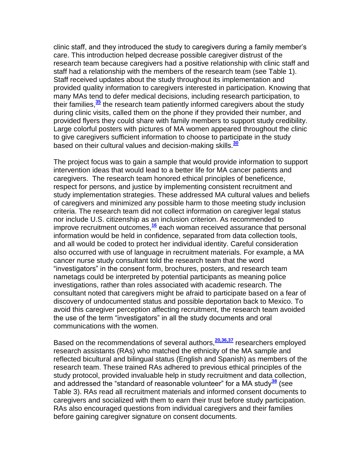clinic staff, and they introduced the study to caregivers during a family member"s care. This introduction helped decrease possible caregiver distrust of the research team because caregivers had a positive relationship with clinic staff and staff had a relationship with the members of the research team (see Table 1). Staff received updates about the study throughout its implementation and provided quality information to caregivers interested in participation. Knowing that many MAs tend to defer medical decisions, including research participation, to their families,**[35](http://snrs.org/publications/SOJNR_articles2/n)** the research team patiently informed caregivers about the study during clinic visits, called them on the phone if they provided their number, and provided flyers they could share with family members to support study credibility. Large colorful posters with pictures of MA women appeared throughout the clinic to give caregivers sufficient information to choose to participate in the study based on their cultural values and decision-making skills.**[30](http://snrs.org/publications/SOJNR_articles2/n)**

The project focus was to gain a sample that would provide information to support intervention ideas that would lead to a better life for MA cancer patients and caregivers. The research team honored ethical principles of beneficence, respect for persons, and justice by implementing consistent recruitment and study implementation strategies. These addressed MA cultural values and beliefs of caregivers and minimized any possible harm to those meeting study inclusion criteria. The research team did not collect information on caregiver legal status nor include U.S. citizenship as an inclusion criterion. As recommended to improve recruitment outcomes,**[16](http://snrs.org/publications/SOJNR_articles2/n)** each woman received assurance that personal information would be held in confidence, separated from data collection tools, and all would be coded to protect her individual identity. Careful consideration also occurred with use of language in recruitment materials. For example, a MA cancer nurse study consultant told the research team that the word "investigators" in the consent form, brochures, posters, and research team nametags could be interpreted by potential participants as meaning police investigations, rather than roles associated with academic research. The consultant noted that caregivers might be afraid to participate based on a fear of discovery of undocumented status and possible deportation back to Mexico. To avoid this caregiver perception affecting recruitment, the research team avoided the use of the term "investigators" in all the study documents and oral communications with the women.

Based on the recommendations of several authors,**[20,36,37](http://snrs.org/publications/SOJNR_articles2/n)** researchers employed research assistants (RAs) who matched the ethnicity of the MA sample and reflected bicultural and bilingual status (English and Spanish) as members of the research team. These trained RAs adhered to previous ethical principles of the study protocol, provided invaluable help in study recruitment and data collection, and addressed the "standard of reasonable volunteer" for a MA study**[38](http://snrs.org/publications/SOJNR_articles2/n)** (see Table 3). RAs read all recruitment materials and informed consent documents to caregivers and socialized with them to earn their trust before study participation. RAs also encouraged questions from individual caregivers and their families before gaining caregiver signature on consent documents.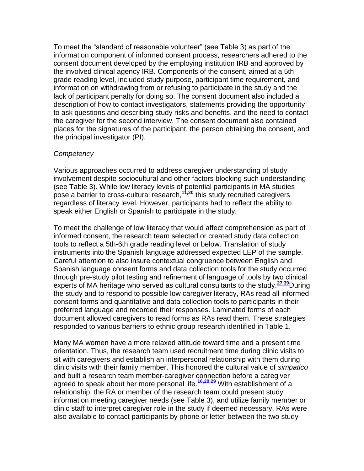To meet the "standard of reasonable volunteer" (see Table 3) as part of the information component of informed consent process, researchers adhered to the consent document developed by the employing institution IRB and approved by the involved clinical agency IRB. Components of the consent, aimed at a 5th grade reading level, included study purpose, participant time requirement, and information on withdrawing from or refusing to participate in the study and the lack of participant penalty for doing so. The consent document also included a description of how to contact investigators, statements providing the opportunity to ask questions and describing study risks and benefits, and the need to contact the caregiver for the second interview. The consent document also contained places for the signatures of the participant, the person obtaining the consent, and the principal investigator (PI).

### *Competency*

Various approaches occurred to address caregiver understanding of study involvement despite sociocultural and other factors blocking such understanding (see Table 3). While low literacy levels of potential participants in MA studies pose a barrier to cross-cultural research,**[11,20](http://snrs.org/publications/SOJNR_articles2/n)** this study recruited caregivers regardless of literacy level. However, participants had to reflect the ability to speak either English or Spanish to participate in the study.

To meet the challenge of low literacy that would affect comprehension as part of informed consent, the research team selected or created study data collection tools to reflect a 5th-6th grade reading level or below. Translation of study instruments into the Spanish language addressed expected LEP of the sample. Careful attention to also insure contextual congruence between English and Spanish language consent forms and data collection tools for the study occurred through pre-study pilot testing and refinement of language of tools by two clinical experts of MA heritage who served as cultural consultants to the study.**[27,39](http://snrs.org/publications/SOJNR_articles2/n)**During the study and to respond to possible low caregiver literacy, RAs read all informed consent forms and quantitative and data collection tools to participants in their preferred language and recorded their responses. Laminated forms of each document allowed caregivers to read forms as RAs read them. These strategies responded to various barriers to ethnic group research identified in Table 1.

Many MA women have a more relaxed attitude toward time and a present time orientation. Thus, the research team used recruitment time during clinic visits to sit with caregivers and establish an interpersonal relationship with them during clinic visits with their family member. This honored the cultural value of *simpatico*  and built a research team member-caregiver connection before a caregiver agreed to speak about her more personal life.**[16,20,29](http://snrs.org/publications/SOJNR_articles2/n)** With establishment of a relationship, the RA or member of the research team could present study information meeting caregiver needs (see Table 3), and utilize family member or clinic staff to interpret caregiver role in the study if deemed necessary. RAs were also available to contact participants by phone or letter between the two study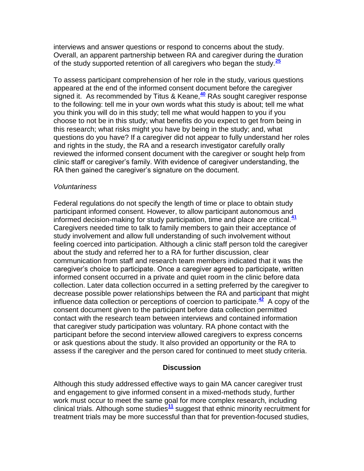interviews and answer questions or respond to concerns about the study. Overall, an apparent partnership between RA and caregiver during the duration of the study supported retention of all caregivers who began the study.**[25](http://snrs.org/publications/SOJNR_articles2/n)**

To assess participant comprehension of her role in the study, various questions appeared at the end of the informed consent document before the caregiver signed it. As recommended by Titus & Keane,**[40](http://snrs.org/publications/SOJNR_articles2/n)** RAs sought caregiver response to the following: tell me in your own words what this study is about; tell me what you think you will do in this study; tell me what would happen to you if you choose to not be in this study; what benefits do you expect to get from being in this research; what risks might you have by being in the study; and, what questions do you have? If a caregiver did not appear to fully understand her roles and rights in the study, the RA and a research investigator carefully orally reviewed the informed consent document with the caregiver or sought help from clinic staff or caregiver"s family. With evidence of caregiver understanding, the RA then gained the caregiver's signature on the document.

#### *Voluntariness*

Federal regulations do not specify the length of time or place to obtain study participant informed consent. However, to allow participant autonomous and informed decision-making for study participation, time and place are critical.**[41](http://snrs.org/publications/SOJNR_articles2/n)** Caregivers needed time to talk to family members to gain their acceptance of study involvement and allow full understanding of such involvement without feeling coerced into participation. Although a clinic staff person told the caregiver about the study and referred her to a RA for further discussion, clear communication from staff and research team members indicated that it was the caregiver"s choice to participate. Once a caregiver agreed to participate, written informed consent occurred in a private and quiet room in the clinic before data collection. Later data collection occurred in a setting preferred by the caregiver to decrease possible power relationships between the RA and participant that might influence data collection or perceptions of coercion to participate.**[42](http://snrs.org/publications/SOJNR_articles2/n)** A copy of the consent document given to the participant before data collection permitted contact with the research team between interviews and contained information that caregiver study participation was voluntary. RA phone contact with the participant before the second interview allowed caregivers to express concerns or ask questions about the study. It also provided an opportunity or the RA to assess if the caregiver and the person cared for continued to meet study criteria.

### **Discussion**

Although this study addressed effective ways to gain MA cancer caregiver trust and engagement to give informed consent in a mixed-methods study, further work must occur to meet the same goal for more complex research, including clinical trials. Although some studies**[11](http://snrs.org/publications/SOJNR_articles2/n)** suggest that ethnic minority recruitment for treatment trials may be more successful than that for prevention-focused studies,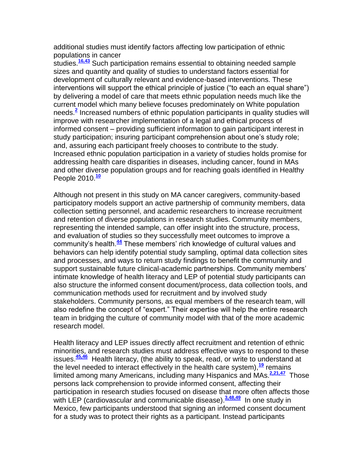additional studies must identify factors affecting low participation of ethnic populations in cancer

studies.**[16,43](http://snrs.org/publications/SOJNR_articles2/n)** Such participation remains essential to obtaining needed sample sizes and quantity and quality of studies to understand factors essential for development of culturally relevant and evidence-based interventions. These interventions will support the ethical principle of justice ("to each an equal share") by delivering a model of care that meets ethnic population needs much like the current model which many believe focuses predominately on White population needs.**[2](http://snrs.org/publications/SOJNR_articles2/n)** Increased numbers of ethnic population participants in quality studies will improve with researcher implementation of a legal and ethical process of informed consent – providing sufficient information to gain participant interest in study participation; insuring participant comprehension about one"s study role; and, assuring each participant freely chooses to contribute to the study. Increased ethnic population participation in a variety of studies holds promise for addressing health care disparities in diseases, including cancer, found in MAs and other diverse population groups and for reaching goals identified in Healthy People 2010.**[10](http://snrs.org/publications/SOJNR_articles2/n)**

Although not present in this study on MA cancer caregivers, community-based participatory models support an active partnership of community members, data collection setting personnel, and academic researchers to increase recruitment and retention of diverse populations in research studies. Community members, representing the intended sample, can offer insight into the structure, process, and evaluation of studies so they successfully meet outcomes to improve a community's health.<sup>[44](http://snrs.org/publications/SOJNR_articles2/n)</sup> These members' rich knowledge of cultural values and behaviors can help identify potential study sampling, optimal data collection sites and processes, and ways to return study findings to benefit the community and support sustainable future clinical-academic partnerships. Community members' intimate knowledge of health literacy and LEP of potential study participants can also structure the informed consent document/process, data collection tools, and communication methods used for recruitment and by involved study stakeholders. Community persons, as equal members of the research team, will also redefine the concept of "expert." Their expertise will help the entire research team in bridging the culture of community model with that of the more academic research model.

Health literacy and LEP issues directly affect recruitment and retention of ethnic minorities, and research studies must address effective ways to respond to these issues.**[45,46](http://snrs.org/publications/SOJNR_articles2/n)** Health literacy, (the ability to speak, read, or write to understand at the level needed to interact effectively in the health care system),**[19](http://snrs.org/publications/SOJNR_articles2/n)** remains limited among many Americans, including many Hispanics and MAs.**[2,21,47](http://snrs.org/publications/SOJNR_articles2/n)** Those persons lack comprehension to provide informed consent, affecting their participation in research studies focused on disease that more often affects those with LEP (cardiovascular and communicable disease).<sup>[3,48,49](http://snrs.org/publications/SOJNR_articles2/n)</sup> In one study in Mexico, few participants understood that signing an informed consent document for a study was to protect their rights as a participant. Instead participants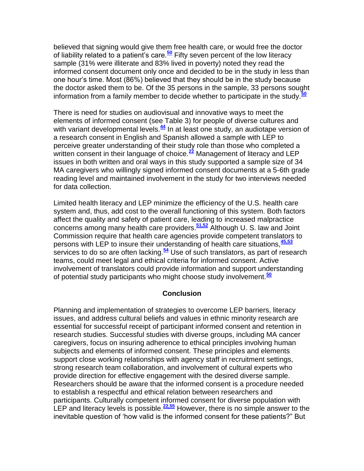believed that signing would give them free health care, or would free the doctor of liability related to a patient"s care.**[50](http://snrs.org/publications/SOJNR_articles2/n)** Fifty seven percent of the low literacy sample (31% were illiterate and 83% lived in poverty) noted they read the informed consent document only once and decided to be in the study in less than one hour"s time. Most (86%) believed that they should be in the study because the doctor asked them to be. Of the 35 persons in the sample, 33 persons sought information from a family member to decide whether to participate in the study.**[50](http://snrs.org/publications/SOJNR_articles2/n)**

There is need for studies on audiovisual and innovative ways to meet the elements of informed consent (see Table 3) for people of diverse cultures and with variant developmental levels.<sup>[44](http://snrs.org/publications/SOJNR_articles2/n)</sup> In at least one study, an audiotape version of a research consent in English and Spanish allowed a sample with LEP to perceive greater understanding of their study role than those who completed a written consent in their language of choice.<sup>[22](http://snrs.org/publications/SOJNR_articles2/n)</sup> Management of literacy and LEP issues in both written and oral ways in this study supported a sample size of 34 MA caregivers who willingly signed informed consent documents at a 5-6th grade reading level and maintained involvement in the study for two interviews needed for data collection.

Limited health literacy and LEP minimize the efficiency of the U.S. health care system and, thus, add cost to the overall functioning of this system. Both factors affect the quality and safety of patient care, leading to increased malpractice concerns among many health care providers.**[51,52](http://snrs.org/publications/SOJNR_articles2/n)** Although U. S. law and Joint Commission require that health care agencies provide competent translators to persons with LEP to insure their understanding of health care situations,**[45,53](http://snrs.org/publications/SOJNR_articles2/n)** services to do so are often lacking.**[54](http://snrs.org/publications/SOJNR_articles2/n)** Use of such translators, as part of research teams, could meet legal and ethical criteria for informed consent. Active involvement of translators could provide information and support understanding of potential study participants who might choose study involvement.**[50](http://snrs.org/publications/SOJNR_articles2/n)**

#### **Conclusion**

Planning and implementation of strategies to overcome LEP barriers, literacy issues, and address cultural beliefs and values in ethnic minority research are essential for successful receipt of participant informed consent and retention in research studies. Successful studies with diverse groups, including MA cancer caregivers, focus on insuring adherence to ethical principles involving human subjects and elements of informed consent. These principles and elements support close working relationships with agency staff in recruitment settings, strong research team collaboration, and involvement of cultural experts who provide direction for effective engagement with the desired diverse sample. Researchers should be aware that the informed consent is a procedure needed to establish a respectful and ethical relation between researchers and participants. Culturally competent informed consent for diverse population with LEP and literacy levels is possible.**[22,55](http://snrs.org/publications/SOJNR_articles2/n)** However, there is no simple answer to the inevitable question of "how valid is the informed consent for these patients?" But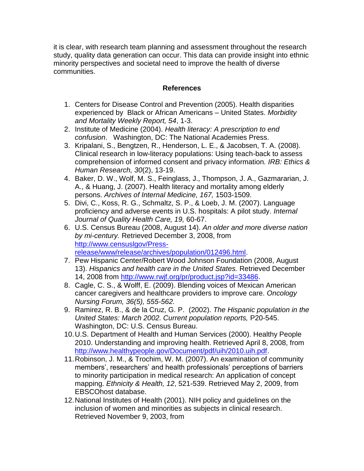it is clear, with research team planning and assessment throughout the research study, quality data generation can occur. This data can provide insight into ethnic minority perspectives and societal need to improve the health of diverse communities.

### **References**

- 1. Centers for Disease Control and Prevention (2005). Health disparities experienced by Black or African Americans – United States. *Morbidity and Mortality Weekly Report, 54*, 1-3.
- 2. Institute of Medicine (2004). *Health literacy: A prescription to end confusion*. Washington, DC: The National Academies Press.
- 3. Kripalani, S., Bengtzen, R., Henderson, L. E., & Jacobsen, T. A. (2008). Clinical research in low-literacy populations: Using teach-back to assess comprehension of informed consent and privacy information*. IRB: Ethics & Human Research, 30*(2), 13-19.
- 4. Baker, D. W., Wolf, M. S., Feinglass, J., Thompson, J. A., Gazmararian, J. A., & Huang, J. (2007). Health literacy and mortality among elderly persons. *Archives of Internal Medicine, 167,* 1503-1509.
- 5. Divi, C., Koss, R. G., Schmaltz, S. P., & Loeb, J. M. (2007). Language proficiency and adverse events in U.S. hospitals: A pilot study. *Internal Journal of Quality Health Care, 19,* 60-67.
- 6. U.S. Census Bureau (2008, August 14). *An older and more diverse nation by mi-century.* Retrieved December 3, 2008, from [http://www.censuslgov/Press](http://www.censuslgov/Press-%20release/www/release/archives/population/012496.html)[release/www/release/archives/population/012496.html.](http://www.censuslgov/Press-%20release/www/release/archives/population/012496.html)
- 7. Pew Hispanic Center/Robert Wood Johnson Foundation (2008, August 13). *Hispanics and health care in the United States.* Retrieved December 14, 2008 from [http://www.rwjf.org/pr/product.jsp?id=33486.](http://www.rwjf.org/pr/product.jsp?id=33486)
- 8. Cagle, C. S., & Wolff, E. (2009). Blending voices of Mexican American cancer caregivers and healthcare providers to improve care. *Oncology Nursing Forum, 36(5), 555-562.*
- 9. Ramirez, R. B., & de la Cruz, G. P. (2002). *The Hispanic population in the United States: March 2002. Current population reports,* P20-545. Washington, DC: U.S. Census Bureau.
- 10.U.S. Department of Health and Human Services (2000). Healthy People 2010. Understanding and improving health. Retrieved April 8, 2008, from [http://www.healthypeople.gov/Document/pdf/uih/2010.uih.pdf.](http://www.healthypeople.gov/Document/pdf/uih/2010.uih.pdf)
- 11.Robinson, J. M., & Trochim, W. M. (2007). An examination of community members', researchers' and health professionals' perceptions of barriers to minority participation in medical research: An application of concept mapping. *Ethnicity & Health, 12*, 521-539. Retrieved May 2, 2009, from EBSCOhost database.
- 12.National Institutes of Health (2001). NIH policy and guidelines on the inclusion of women and minorities as subjects in clinical research. Retrieved November 9, 2003, from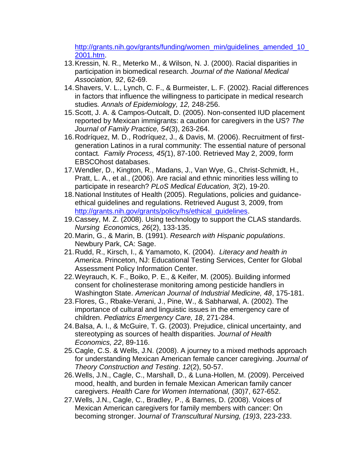[http://grants.nih.gov/grants/funding/women\\_min/guidelines\\_amended\\_10\\_](http://grants.nih.gov/grants/funding/women_min/guidelines_amended_10_2001.htm) [2001.htm.](http://grants.nih.gov/grants/funding/women_min/guidelines_amended_10_2001.htm)

- 13.Kressin, N. R., Meterko M., & Wilson, N. J. (2000). Racial disparities in participation in biomedical research. *Journal of the National Medical Association, 92*, 62-69.
- 14.Shavers, V. L., Lynch, C. F., & Burmeister, L. F. (2002). Racial differences in factors that influence the willingness to participate in medical research studies*. Annals of Epidemiology, 12,* 248-256.
- 15.Scott, J. A. & Campos-Outcalt, D. (2005). Non-consented IUD placement reported by Mexican immigrants: a caution for caregivers in the US? *The Journal of Family Practice, 54*(3), 263-264.
- 16.Rodríquez, M. D., Rodríquez, J., & Davis, M. (2006). Recruitment of firstgeneration Latinos in a rural community: The essential nature of personal contact*. Family Process, 45(*1), 87-100. Retrieved May 2, 2009, form EBSCOhost databases.
- 17.Wendler, D., Kington, R., Madans, J., Van Wye, G., Christ-Schmidt, H., Pratt, L. A., et al., (2006). Are racial and ethnic minorities less willing to participate in research? *PLoS Medical Education, 3*(2), 19-20.
- 18.National Institutes of Health (2005). Regulations, policies and guidanceethical guidelines and regulations. Retrieved August 3, 2009, from [http://grants.nih.gov/grants/policy/hs/ethical\\_guidelines.](http://grants.nih.gov/grants/policy/hs/ethical_guidelines)
- 19.Cassey, M. Z. (2008). Using technology to support the CLAS standards. *Nursing Economics, 26*(2), 133-135.
- 20.Marin, G., & Marin, B. (1991). *Research with Hispanic populations*. Newbury Park, CA: Sage.
- 21.Rudd, R., Kirsch, I., & Yamamoto, K. (2004). *Literacy and health in America*. Princeton, NJ: Educational Testing Services, Center for Global Assessment Policy Information Center.
- 22.Weyrauch, K. F., Boiko, P. E., & Keifer, M. (2005). Building informed consent for cholinesterase monitoring among pesticide handlers in Washington State. *American Journal of Industrial Medicine, 48*, 175-181.
- 23.Flores, G., Rbake-Verani, J., Pine, W., & Sabharwal, A. (2002). The importance of cultural and linguistic issues in the emergency care of children. *Pediatrics Emergency Care, 18*, 271-284.
- 24.Balsa, A. I., & McGuire, T. G. (2003). Prejudice, clinical uncertainty, and stereotyping as sources of health disparities. *Journal of Health Economics, 22*, 89-116.
- 25.Cagle, C.S. & Wells, J.N. (2008). A journey to a mixed methods approach for understanding Mexican American female cancer caregiving. *Journal of Theory Construction and Testing*. *12*(2), 50-57.
- 26.Wells, J.N., Cagle, C., Marshall, D., & Luna-Hollen, M. (2009). Perceived mood, health, and burden in female Mexican American family cancer caregivers. *Health Care for Women International,* (30)7, 627-652.
- 27.Wells, J.N., Cagle, C., Bradley, P., & Barnes, D. (2008). Voices of Mexican American caregivers for family members with cancer: On becoming stronger. J*ournal of Transcultural Nursing, (19)*3, 223-233.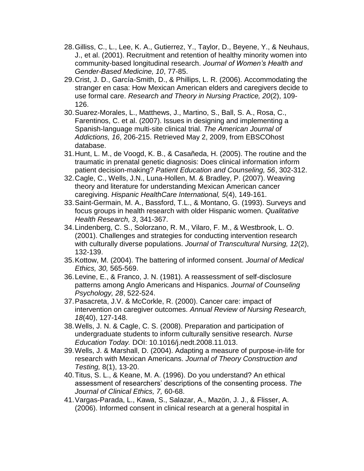- 28.Gilliss, C., L., Lee, K. A., Gutierrez, Y., Taylor, D., Beyene, Y., & Neuhaus, J., et al. (2001). Recruitment and retention of healthy minority women into community-based longitudinal research. *Journal of Women's Health and Gender-Based Medicine, 10*, 77-85.
- 29.Crist, J. D., García-Smith, D., & Phillips, L. R. (2006). Accommodating the stranger en casa: How Mexican American elders and caregivers decide to use formal care. *Research and Theory in Nursing Practice, 20*(2), 109- 126.
- 30.Suarez-Morales, L., Matthews, J., Martino, S., Ball, S. A., Rosa, C., Farentinos, C. et al. (2007). Issues in designing and implementing a Spanish-language multi-site clinical trial. *The American Journal of Addictions, 16*, 206-215. Retrieved May 2, 2009, from EBSCOhost database.
- 31.Hunt, L. M., de Voogd, K. B., & Casañeda, H. (2005). The routine and the traumatic in prenatal genetic diagnosis: Does clinical information inform patient decision-making? *Patient Education and Counseling, 56*, 302-312.
- 32.Cagle, C., Wells, J.N., Luna-Hollen, M. & Bradley, P. (2007). Weaving theory and literature for understanding Mexican American cancer caregiving. *Hispanic HealthCare International, 5*(4), 149-161.
- 33.Saint-Germain, M. A., Bassford, T.L., & Montano, G. (1993). Surveys and focus groups in health research with older Hispanic women. *Qualitative Health Research, 3*, 341-367.
- 34.Lindenberg, C. S., Solorzano, R. M., Vilaro, F. M., & Westbrook, L. O. (2001). Challenges and strategies for conducting intervention research with culturally diverse populations. *Journal of Transcultural Nursing, 12*(2), 132-139.
- 35.Kottow, M. (2004). The battering of informed consent. *Journal of Medical Ethics, 30,* 565-569.
- 36.Levine, E., & Franco, J. N. (1981). A reassessment of self-disclosure patterns among Anglo Americans and Hispanics. *Journal of Counseling Psychology, 28*, 522-524.
- 37.Pasacreta, J.V. & McCorkle, R. (2000). Cancer care: impact of intervention on caregiver outcomes. *Annual Review of Nursing Research, 18*(40), 127-148.
- 38.Wells, J. N. & Cagle, C. S. (2008). Preparation and participation of undergraduate students to inform culturally sensitive research. *Nurse Education Today.* DOI: 10.1016/j.nedt.2008.11.013.
- 39.Wells, J. & Marshall, D. (2004). Adapting a measure of purpose-in-life for research with Mexican Americans. *Journal of Theory Construction and Testing,* 8(1), 13-20.
- 40.Titus, S. L., & Keane, M. A. (1996). Do you understand? An ethical assessment of researchers" descriptions of the consenting process. *The Journal of Clinical Ethics, 7,* 60-68.
- 41.Vargas-Parada, L., Kawa, S., Salazar, A., Mazön, J. J., & Flisser, A. (2006). Informed consent in clinical research at a general hospital in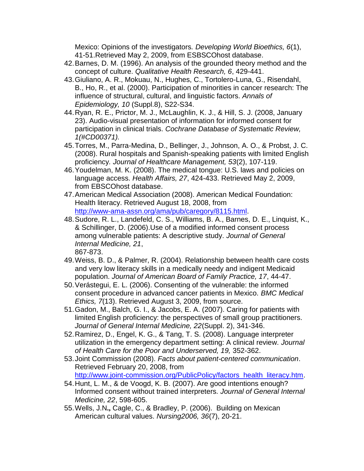Mexico: Opinions of the investigators*. Developing World Bioethics, 6*(1), 41-51.Retrieved May 2, 2009, from ESBSCOhost database.

- 42.Barnes, D. M. (1996). An analysis of the grounded theory method and the concept of culture. *Qualitative Health Research, 6*, 429-441.
- 43.Giuliano, A. R., Mokuau, N., Hughes, C., Tortolero-Luna, G., Risendahl, B., Ho, R., et al. (2000). Participation of minorities in cancer research: The influence of structural, cultural, and linguistic factors. *Annals of Epidemiology, 10* (Suppl.8), S22-S34.
- 44.Ryan, R. E., Prictor, M. J., McLaughlin, K. J., & Hill, S. J. (2008, January 23). Audio-visual presentation of information for informed consent for participation in clinical trials. *Cochrane Database of Systematic Review, 1(#CD00371).*
- 45.Torres, M., Parra-Medina, D., Bellinger, J., Johnson, A. O., & Probst, J. C. (2008). Rural hospitals and Spanish-speaking patients with limited English proficiency*. Journal of Healthcare Management, 53*(2), 107-119.
- 46.Youdelman, M. K. (2008). The medical tongue: U.S. laws and policies on language access. *Health Affairs, 27*, 424-433. Retrieved May 2, 2009, from EBSCOhost database.
- 47.American Medical Association (2008). American Medical Foundation: Health literacy. Retrieved August 18, 2008, from [http://www-ama-assn.org/ama/pub/caregory/8115.html.](http://www-ama-assn.org/ama/pub/caregory/8115.html)
- 48.Sudore, R. L., Landefeld, C. S., Williams, B. A., Barnes, D. E., Linquist, K., & Schillinger, D. (2006).Use of a modified informed consent process among vulnerable patients: A descriptive study. *Journal of General Internal Medicine, 21*, 867-873.
- 49.Weiss, B. D., & Palmer, R. (2004). Relationship between health care costs and very low literacy skills in a medically needy and indigent Medicaid population. *Journal of American Board of Family Practice, 17*, 44-47.
- 50.Verástegui, E. L. (2006). Consenting of the vulnerable: the informed consent procedure in advanced cancer patients in Mexico. *BMC Medical Ethics, 7*(13). Retrieved August 3, 2009, from source.
- 51.Gadon, M., Balch, G. I., & Jacobs, E. A. (2007). Caring for patients with limited English proficiency: the perspectives of small group practitioners. *Journal of General Internal Medicine, 22*(Suppl. 2), 341-346.
- 52.Ramirez, D., Engel, K. G., & Tang, T. S. (2008). Language interpreter utilization in the emergency department setting: A clinical review. *Journal of Health Care for the Poor and Underserved, 19,* 352-362.
- 53.Joint Commission (2008). *Facts about patient-centered communication*. Retrieved February 20, 2008, from [http://www.joint-commission.org/PublicPolicy/factors\\_health\\_literacy.htm.](http://www.joint-commission.org/PublicPolicy/factors_health_literacy.htm)
- 54.Hunt, L. M., & de Voogd, K. B. (2007). Are good intentions enough? Informed consent without trained interpreters. *Journal of General Internal Medicine, 22*, 598-605.
- 55.Wells, J.N**.,** Cagle, C., & Bradley, P. (2006). Building on Mexican American cultural values. *Nursing2006, 36*(7), 20-21.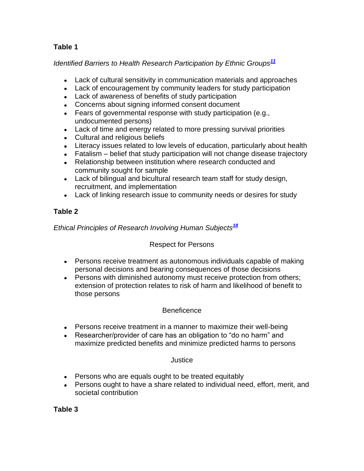# **Table 1**

# *Identified Barriers to Health Research Participation by Ethnic Groups[11](http://snrs.org/publications/SOJNR_articles2/n)*

- Lack of cultural sensitivity in communication materials and approaches
- Lack of encouragement by community leaders for study participation
- Lack of awareness of benefits of study participation
- Concerns about signing informed consent document
- Fears of governmental response with study participation (e.g., undocumented persons)
- Lack of time and energy related to more pressing survival priorities
- Cultural and religious beliefs
- Literacy issues related to low levels of education, particularly about health
- Fatalism belief that study participation will not change disease trajectory
- Relationship between institution where research conducted and community sought for sample
- Lack of bilingual and bicultural research team staff for study design, recruitment, and implementation
- Lack of linking research issue to community needs or desires for study

# **Table 2**

# *Ethical Principles of Research Involving Human Subjects[18](http://snrs.org/publications/SOJNR_articles2/n)*

# Respect for Persons

- Persons receive treatment as autonomous individuals capable of making personal decisions and bearing consequences of those decisions
- Persons with diminished autonomy must receive protection from others; extension of protection relates to risk of harm and likelihood of benefit to those persons

## **Beneficence**

- Persons receive treatment in a manner to maximize their well-being
- Researcher/provider of care has an obligation to "do no harm" and maximize predicted benefits and minimize predicted harms to persons

## Justice

- Persons who are equals ought to be treated equitably
- Persons ought to have a share related to individual need, effort, merit, and societal contribution

## **Table 3**